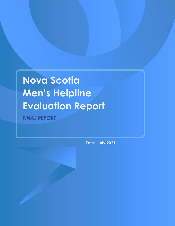**Nova Scotia Men's Helpline Evaluation Report** *FINAL REPORT* 

Date: **July 2021**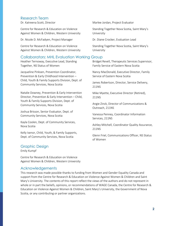#### Research Team

Dr. Katreena Scott, Director

Centre for Research & Education on Violence Against Women & Children, Western University

Dr. Nicole D. McFadyen, Project Manager

Centre for Research & Education on Violence Against Women & Children, Western University

### Collaborators: MHL Evaluation Working Group

Heather Ternoway, Executive Lead, Standing Together, NS Status of Women

Jacqueline Pinksen, Prevention Coordinator, Prevention & Early Childhood Intervention – Child, Youth & Family Supports Division, Dept. of Community Services, Nova Scotia

Natalie Downey, Prevention & Early Intervention Director, Prevention & Early Intervention – Child, Youth & Family Supports Division, Dept. of Community Services, Nova Scotia

Joshua Brisson, Senior Evaluator, Dept. of Community Services, Nova Scotia

Kayla Coolen, Dept. of Community Services, Nova Scotia

Kelly Isenor, Child, Youth, & Family Supports, Dept. of Community Services, Nova Scotia

#### Marlee Jordan, Project Evaluator

Standing Together Nova Scotia, Saint Mary's University

Dr. Diane Crocker, Evaluation Lead

Standing Together Nova Scotia, Saint Mary's University

Bridget Revell, Therapeutic Services Supervisor, Family Service of Eastern Nova Scotia

Nancy MacDonald, Executive Director, Family Service of Eastern Nova Scotia

James Robertson, Director, Service Delivery, 211NS

Mike Myette, Executive Director (Retired), 211NS

Angie Zinck, Director of Communications & Outreach, 211NS

Vanessa Penney, Coordinator Information Services, 211NS

Ashley Mitchell, Coordinator Quality Assurance, 211NS

Glenn Friel, Communications Officer, NS Status of Women

#### Graphic Design

Emily Kumpf

Centre for Research & Education on Violence Against Women & Children, Western University

#### Acknowledgements

This research was made possible thanks to funding from Women and Gender Equality Canada and support from the Centre for Research & Education on Violence Against Women & Children and Saint Mary's University. The contents of this report reflect the views of the authors and do not represent in whole or in part the beliefs, opinions, or recommendations of WAGE Canada, the Centre for Research & Education on Violence Against Women & Children, Saint Mary's University, the Government of Nova Scotia, or any contributing or partner organizations.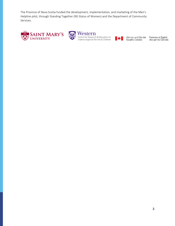The Province of Nova Scotia funded the development, implementation, and marketing of the Men's Helpline pilot, through Standing Together (NS Status of Women) and the Department of Community Services.





Centre for Research & Education on<br>Violence Against Women & Children



Women and Gender<br>Equality Canada

Femmes et Égalité<br>des genres Canada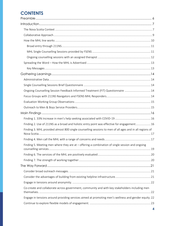# **CONTENTS**

| Ongoing Counselling Session Feedback Informed Treatment (FIT) Questionnaire  14                         |  |
|---------------------------------------------------------------------------------------------------------|--|
|                                                                                                         |  |
|                                                                                                         |  |
|                                                                                                         |  |
|                                                                                                         |  |
|                                                                                                         |  |
| Finding 2. Use of 211NS as a broad and holistic entry point was effective for engagement 16             |  |
| Finding 3. MHL provided almost 800 single counselling sessions to men of all ages and in all regions of |  |
|                                                                                                         |  |
| Finding 5. Meeting men where they are at - offering a combination of single session and ongoing         |  |
|                                                                                                         |  |
|                                                                                                         |  |
|                                                                                                         |  |
|                                                                                                         |  |
|                                                                                                         |  |
|                                                                                                         |  |
| Co-create and collaborate across government, community and with key stakeholders including men          |  |
| Engage in tensions around providing services aimed at promoting men's wellness and gender equity. 22    |  |
|                                                                                                         |  |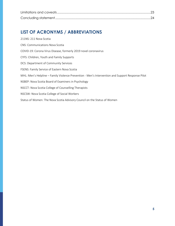# **LIST OF ACRONYMS / ABBREVIATIONS**

| 211NS: 211 Nova Scotia                                                                           |
|--------------------------------------------------------------------------------------------------|
| <b>CNS: Communications Nova Scotia</b>                                                           |
| COVID-19: Corona Virus Disease, formerly 2019 novel coronavirus                                  |
| CYFS: Children, Youth and Family Supports                                                        |
| DCS: Department of Community Services                                                            |
| FSENS: Family Service of Eastern Nova Scotia                                                     |
| MHL: Men's Helpline – Family Violence Prevention - Men's Intervention and Support Response Pilot |
| NSBEP: Nova Scotia Board of Examiners in Psychology                                              |
| NSCCT: Nova Scotia College of Counselling Therapists                                             |
| NSCSW: Nova Scotia College of Social Workers                                                     |
| Status of Women: The Nova Scotia Advisory Council on the Status of Women                         |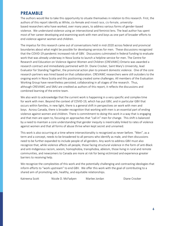# <span id="page-5-0"></span>**PREAMBLE**

The authors would like to take this opportunity to situate themselves in relation to this research. First, the authors of this report identify as White, cis-female and mixed race, cis-female, universitybased researchers who have worked, over many years, to address various forms of gender-based violence. We understand violence using an intersectional and feminist lens. The lead author has spent most of her career developing and examining work with men and boys as one part of broader efforts to end violence against women and children.

The impetus for this research came out of conversations held in mid-2020 across federal and provincial boundaries about what might be possible for developing services for men. These discussions recognized that the COVID-19 pandemic increased risk of GBV. Discussions culminated in federal funding to evaluate work that was already underway in Nova Scotia to launch a helpline service for men. The Centre for Research and Education on Violence Against Women and Children (CREVAWC) Ontario was awarded a research contract and immediately partnered with Dr. Diane Crocker, Saint Mary's University, lead Evaluator for Standing Together, the provincial action plan to prevent domestic violence. One of the core research partners was hired based on that collaboration. CREVAWC researchers were still outsiders to the ongoing work in Nova Scotia and this positioning created some challenges. All members of the Evaluation Working Group have nevertheless persisted, collaborating in all stages of the research. Thus, although CREVAWC and SMU are credited as authors of this report, it reflects the discussions and combined learning of the entire team.

We also wish to acknowledge that the current work is happening in a very specific and complex time for work with men. Beyond the context of COVID-19, which has put GBV, and in particular GBV that occurs within families, in new light, there is a general shift in perspectives on work with men and boys. Across Canada, there is broader recognition that working with men is an essential part of ending violence against women and children. There is commitment to doing this work in a way that is engaging and that men are open to, focusing on approaches that "call in" men for change. This shift is balanced by a need to maintain a core understanding that gender inequity is inextricably linked to rates of violence against women and that all forms of abuse thrive when kept secret and unnamed.

This work is also occurring at a time where intersectionality is recognized as never before. "Men", as a term and a concept, needs to be broadened to all persons who identify as male, and then discussions need to be further expanded to include people of all genders. Any work to address GBV must also recognize that, while violence affects all people, those facing structural violence in the form of anti-Black and anti-Indigenous racism, sexism, homophobia, transphobia, ableism, those living in rural and remote communities, and newcomers to Canada are more at risk for being victimized and experience greater barriers to receiving help.

We recognize the complexities of this work and the potentially challenging and contrasting ideologies that inform efforts to "work upstream" to end GBV. We offer this work with the goal of contributing to a shared aim of promoting safe, healthy, and equitable relationships.

Katreena Scott Nicole D. McFadyen Marlee Jordan Diane Crocker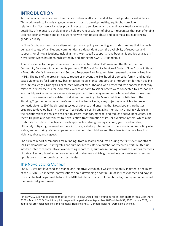# <span id="page-6-0"></span>**INTRODUCTION**

Across Canada, there is a need to enhance upstream efforts to end all forms of gender-based violence. This work needs to include engaging men and boys to develop healthy, equitable, non-violent relationships. Such work includes providing access to services which can mitigate situations where the possibility of violence is developing and help prevent escalation of abuse. It recognizes that part of ending violence against women and girls is working with men to stop abuse and become allies in advancing gender equality.

In Nova Scotia, upstream work aligns with provincial policy supporting and understanding that the wellbeing and safety of families and communities are dependent upon the availability of resources and supports for all Nova Scotians, including men. Men-specific supports have been an identified as a gap in Nova Scotia which has been highlighted by and during the COVID-19 pandemic.

As one response to this gap in services, the Nova Scotia Status of Women and the Department of Community Services with community partners, 211NS and Family Service of Eastern Nova Scotia, initiated a 7-month<sup>1</sup> Men's Intervention and Support Response Pilot Program, later renamed the Men's Helpline (MHL). The goal of the program was to reduce or prevent the likelihood of domestic, family, and genderbased violence by facilitating low-barrier access to assistance, support, and intervention for men dealing with life challenges. During this pilot, men who called 211NS and who presented with concerns that may relate to, or increase risk for, domestic violence or harm to self or others were connected to a responder who could provide immediate non-crisis support and risk management and who could also connect men with up to six sessions of short-term individual counselling. The Men's Helpline contributes to the Standing Together initiative of the Government of Nova Scotia, a key objective of which is to prevent domestic violence (DV) by disrupting cycles of violence and ensuring that Nova Scotians are better prepared to develop healthy, violence-free relationships, by engaging men at-risk of using violence in their relationships in services designed to assess, monitor, manage, and reduce abusive behaviours. The Men's Helpline also contributes to Nova Scotia's transformation of its Child Welfare system, which aims to shift its focus to a proactive and early approach to strengthening children, youth and families, ultimately mitigating the need for more intrusive, statutory interventions. The focus is on promoting safe, stable, and nurturing relationships and environments for children and their families that are free from violence, abuse, and neglect.

The current report summarizes main findings from research conducted during the first seven months of MHL implementation. It integrates and summarizes results of a number of research efforts written up into two interim reports into an over-arching report to: a) summarize findings across the various methods of data collection; b) reflect on successes and challenges; c) highlight considerations relevant to setting up this work in other provinces and territories.

#### <span id="page-6-1"></span>The Nova Scotia Context

The MHL was not launched as a standalone initiative. Although it was very helpfully initiated in the midst of the COVID-19 pandemic, conversations about developing a continuum of services for men and boys in Nova Scotia had begun well before. The MHL links to, and is part of, two broader, multi-year initiatives of the provincial government.

<sup>&</sup>lt;sup>1</sup> In early 2021, it was confirmed that the Men's Helpline would receive funding for at least another fiscal year (April 2021 – March 2022). The initial pilot program time period was September 2020 – March 31, 2021. In July 2021, two additional provincial helplines, the Women's Helpline and All Genders Helpline, were also launched.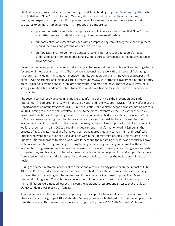The first broader provincial initiative supporting the MHL is Standing Together. [Standing Together,](https://novascotia.ca/standingtogether/) which is an initiative of Nova Scotia's Status of Women, aims to work with community organizations, groups, and experts to support a shift to prevention, while also improving response systems and structures to be more human-centred. Its three specific aims are to:

- prevent domestic violence by disrupting cycles of violence and ensuring that Nova Scotians are better prepared to develop healthy, violence-free relationships;
- support victims of domestic violence with an improved system of programs that help them rebuild their lives and prevent violence in the future;
- shift policies and interventions so support systems better respond to people's needs, understand and promote gender equality, and address barriers facing the most vulnerable Nova Scotians.

To inform the development of a provincial action plan to prevent domestic violence, Standing Together is focused on innovation and learning. The province is advancing this work through several facilitating mechanisms, including grants, government/community collaborations, and innovative prototypes and pilots. Over 70 projects and initiatives are currently underway, with strategic investment in three priority areas: Indigenous women and girls, children and youth, and men and boys. They have also invested in strategic relationships and partnerships to explore what it will take to make the shift to prevention in Nova Scotia.

The second concurrently developing initiative that informed the MHL is the Prevention and Early Intervention (P&EI) program area within the Child Youth and Family Support Division (child welfare) of the Department of Community Services (DCS). In Nova Scotia, Child Welfare began a transformation process in 2014, aiming to move the child welfare system to be more preventative focused rather than crisis driven, with the hopes of improving the outcomes for vulnerable children, youth, and families. Within DCS, it has been long recognized that family violence is a significant risk factor and reason for the involvement of child protection in the lives of the many of the families supported within formalized child welfare responses. In early 2020, through the Department's transformation work, P&EI began the process of updating its model and framework of how it approached and served men, and specifically fathers who were at risk of or had used violence within their family relationships. This resulted in an updated 3 tiered approach to men's work with fathers and the renaming of what was historically known as Men's Intervention Programming to Strengthening Fathers Programming and in work with men's intervention programs and service providers across the province to develop shared program standards, competencies, and training. This tiered approach enables earlier engagement of and support to Fathers from a preventative lens and addresses risk and protective factors across the social determinants of health.

During this same timeframe, additional conversations with community partners on the impact of COVID-19 within P&EI funded supports and services and the children, youth, and families they were serving surfaced that an increasing number of men and fathers were calling to seek support from Men's Intervention Programs. Through these conversations, it became apparent that additional supports for men and fathers were needed, especially given the additional pressures and stresses that the global COVID pandemic was placing on families.

As a way to broaden the conversation regarding the concept of a Men's Helpline, conversations took place with an ad hoc group of 18 stakeholders/service providers who helped to further develop and fine tune the concept. This development work was supported by a new COVID-19 Domestic Violence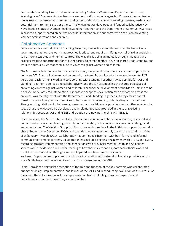Coordination Working Group that was co-chaired by Status of Women and Department of Justice, involving over 30 representatives from government and community agencies. Conversations centred on the increase in self-referrals from men during the pandemic for concerns relating to stress, anxiety, and potential harm to themselves or others. The MHL pilot was developed and funded collaboratively by Nova Scotia's Status of Women (leading Standing Together) and the Department of Community Services in order to support shared objectives of earlier intervention and supports, with a focus on preventing violence against women and children.

#### <span id="page-8-0"></span>Collaborative Approach

Collaboration is a central pillar of Standing Together; it reflects a commitment from the Nova Scotia government that *how* the work is approached is critical and requires shifting ways of thinking and doing to be more integrated and human-centred. The way this is being animated is through initiatives and projects creating opportunities for relevant parties to come together, develop shared understanding, and work to address issues that contribute to violence against women and children.

The MHL was able to be launched because of strong, long-standing collaborative relationships in place between DCS, Status of Women, and community partners. By leaning into the newly developing DCS tiered approach to men's work and collaborating with Standing Together, it was possible for DCS and Standing Together to co-lead and collaboratively fund the MHL; supporting the shared objectives of preventing violence against women and children. Enabling the development of the Men's Helpline to be a holistic model of tiered intervention responses to support Nova Scotian men and fathers across the province, was the alignment with the Department's and Standing Together's Strategy for an overall transformation of programs and services to be more human-centred, collaborative, and responsive. Strong working relationships between government and social service providers was another enabler; the speed that the MHL could be developed and implemented was grounded in the strong existing relationships between DCS and FSENS and creation of a new partnership with NS211.

Once launched, the MHL continued to build on a foundation of intentional collaborative, relational, and human-centred work – embracing principles of partnership, inclusion, and collaboration in design and implementation. The Working Group had formal biweekly meetings in the initial start-up and monitoring phase (September – December 2020), and then decided to meet monthly during the second half of the pilot (January – March 2021). Collaboration has continued since then with both formal and informal communication among partners. Collaboration has included ongoing engagement with 211NS and FSENS regarding program implementation and connections with provincial Mental Health and Addictions services and providers to build understanding of how the services can support each other's work and meet the needs of callers through a more integrated and tiered model of care and wellness. Opportunities to present to and share information with networks of service providers across Nova Scotia have been leveraged to ensure broad awareness of the MHL.

Table 1 provides a very brief description of the role and function of the key partners who collaborated during the design, implementation, and launch of the MHL and in conducting evaluation of its success. As is evident, the collaboration includes representation from multiple government agencies and departments, community agencies, and universities.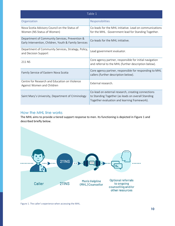| Table 1                                                                                                 |                                                                                                                                                          |  |
|---------------------------------------------------------------------------------------------------------|----------------------------------------------------------------------------------------------------------------------------------------------------------|--|
| Organization                                                                                            | Responsibilities                                                                                                                                         |  |
| Nova Scotia Advisory Council on the Status of<br>Women (NS Status of Women)                             | Co-leads for the MHL initiative. Lead on communications<br>for the MHL. Government lead for Standing Together.                                           |  |
| Department of Community Services, Prevention &<br>Early Intervention, Children, Youth & Family Services | Co-leads for the MHL initiative.                                                                                                                         |  |
| Department of Community Services, Strategy, Policy,<br>and Decision Support                             | Lead government evaluator.                                                                                                                               |  |
| 211 NS                                                                                                  | Core agency partner, responsible for initial navigation<br>and referral to the MHL (further description below).                                          |  |
| Family Service of Eastern Nova Scotia                                                                   | Core agency partner, responsible for responding to MHL<br>callers (further description below).                                                           |  |
| Centre for Research and Education on Violence<br>Against Women and Children                             | External research.                                                                                                                                       |  |
| Saint Mary's University, Department of Criminology                                                      | Co-lead on external research, creating connections<br>to Standing Together (as leads on overall Standing<br>Together evaluation and learning framework). |  |

### <span id="page-9-0"></span>How the MHL line works

The MHL aims to provide a tiered support response to men. Its functioning is depicted in Figure 1 and described briefly below.



Figure 1. The caller's experience when accessing the MHL.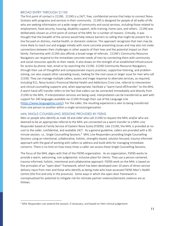#### <span id="page-10-0"></span>BROAD ENTRY THROUGH 211NS

The first point of contact is 211NS. 211NS is a 24/7, free, confidential service that helps to connect Nova Scotians with programs and services in their community. 211NS is designed for people of all walks of life who are seeking information on a wide range of community and social services, including those related to employment, food security, housing, disability support, skills training, home care, and others. 211NS was deliberately chosen as a first point of contact of the MHL for a number of reasons. Critically, it was thought that the breadth of the service would help reduce barriers to calling that might be present for a line focused on distress, mental health, or domestic violence. This approach recognizes that men may be more likely to reach out and engage initially with more concrete presenting issues and may also not make connections between their challenges in other aspects of their lives and the potential impact on their family. Partnership with 211NS also affords a broad range of referrals. 211NS's Community Resource Navigators can respond to the immediate concrete needs of men by connecting them with community and social resources specific to their needs. It also draws on the strength of an established infrastructure for access by phone, text, email or by searching the 211NS. 211NS Community Resource Navigators, through their use of thoughtful and compassionate inquiry practices, supportive listening, and problemsolving, can also unpack other cascading issues, looking for the root cause or larger issue for men who call 211NS. They can manage multiple callers, assess and triage response to alternate services, as required, including 911, Nova Scotia's Provincial Mental Health and Addictions Crisis Line, referral to intervention and clinical counselling supports and, when appropriate, facilitate a "warm hand off/transfer" to the MHL. A warm hand off/ transfer refers to the fact that callers can be connected immediately and directly from 211NS to the MHL. If interpretation services are being used, interpretation can be transferred as well with support for 240 languages available via 211NS through their use of the Language Line (<https://www.languageline.com/>). For the caller, the resulting experience is akin to being transferred from one person to another within a single service/organization.

#### <span id="page-10-1"></span>MHL SINGLE COUNSELLING SESSIONS PROVIDED BY FSENS

Men or people who identify as male 18 and older who call 211NS to request the MHL and/or who are deemed to be an appropriate referral to the MHL are connected via a warm transfer to a MHL Line Responder based at Family Service of Eastern Nova Scotia (FSENS). Like 211NS, the MHL is provided at nocost to the caller, confidential, and available 24/7. As a general guideline, callers are provided with a 30 minute session, i.e., Single Counselling Sessions.<sup>2</sup> MHL Line Responders providing Single Counselling Sessions using an intentional, collaborative, holistic, strengths-based, solution focused, trauma informed approach with the goal of working with callers to address and build skills for managing immediate concerns. There is no limit on how many times a caller can access these Single Counselling Sessions.

The focus of the MHL aligns with that of the FSENS organization. As an organization, FSENS works to provide a warm, welcoming, non-judgmental, inclusive place for clients. They use a person-centered, trauma-informed, holistic, intentional and collaborative approach. FSENS work on the MHL is based on five principles of an "open-door" framework, which has been developed over 10 years of direct service delivery input from men and those who identify as being male who have accessed FSENS Men's Health Centre (the first and only in the province). Some ways in which the open-door framework is conceptualized for potential to mitigate risk for intimate partner violence/domestic violence are as follows:

 $<sup>2</sup>$  MHL Responders can extend the session, if necessary, and based on their clinical judgement.</sup>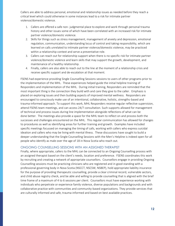Callers are able to address personal, emotional and relationship issues as needed before they reach a critical level which could otherwise in some instances lead to a risk for intimate partner violence/domestic violence.

- 1. Callers are offered a safe non- judgmental place to explore and work through personal trauma history and other issues some of which have been correlated with an increased risk for intimate partner violence/domestic violence.
- 2. Skills for things such as stress management, management of anxiety and depression, emotional regulation, communication, understanding locus of control and taking responsibility, which are learned on calls unrelated to intimate partner violence/domestic violence, may be practiced within a relationship context and serve a preventative role.
- 3. Callers can reach out for relationship support when there is no specific risk for intimate partner violence/domestic violence and learn skills that may support the growth, development, and maintenance of a healthy relationship.
- 4. Finally, callers are also able to reach out to the line at the moment of a relationship crisis and receive specific support and de-escalation at that moment.

FSENS had experience providing Single Counselling Sessions sessions to users of other programs prior to the implementation of the MHL. These experiences helped guide the initial helpline training of Responders and implementation of the MHL. During initial training, Responders are reminded that the most important thing is the connection they build with and care they give to the caller. Emphasis is placed on exploring issues and then building aspects of improved mental wellness. Responders are encouraged to consciously make use of an intentional, collaborative, holistic, strengths-based and trauma-informed approach. To support this work, MHL Responders receive regular reflective supervision, attend FSENS team meetings, and can access 24/7 consultation. Such supports allowed for management of technical and process issues during line implementation alongside reflections of what can be done better. The meetings also provide a space for the MHL team to reflect on and process both the successes and challenges encountered on the MHL. This regular communication has allowed for changes to procedures as well as identifying areas for further training and growth. Examples have included specific meetings focussed on managing the timing of calls, working with callers who express suicidal ideation and callers who may be living with mental illness. These discussions have sought to build a deeper understanding that the Single Counselling Sessions with the Men's Helpline is indeed open for all people who identify as male over the age of 18 in Nova Scotia who reach out.

#### <span id="page-11-0"></span>ONGOING COUNSELLING SESSIONS WITH AN ASSIGNED THERAPIST

Finally, where appropriate, callers to the MHL can be connected to an Ongoing Counselling process with an assigned therapist based on the client's needs, location and preference. FSENS coordinates this work by recruiting and creating a network of appropriate counsellors. Counsellors engage in providing Ongoing Counselling sessions must be practicing clinicians who are registered and in good standing with a professional governing body in Nova Scotia (NSCCT, NSCSW, NSBEP), hold appropriate liability insurance for the purpose of providing therapeutic counselling, provide a clear criminal record, vulnerable sectors, and child abuse registry check, and be able and willing to provide counselling that is aligned with the brief time frame of a maximum of 4 to 6 sessions per client. Counsellors must have experience working with individuals who perpetrate or experience family violence, diverse populations and backgrounds and with collaborative practice with communities and community-based organizations. They provide services that are culturally informed and safe, trauma-informed and based on best available practices.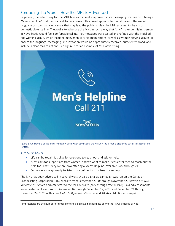## <span id="page-12-0"></span>Spreading the Word – How the MHL is Advertised

In general, the advertising for the MHL takes a minimalist approach in its messaging, focuses on it being a "Men's Helpline" that men can call for any reason. This broad appeal intentionally avoids the use of language or accompanying visuals that may lead the public to view the MHL as a mental health or domestic violence line. The goal is to advertise the MHL in such a way that "any" male-identifying person in Nova Scotia would feel comfortable calling. Key messages were tested and refined with the initial ad hoc working group, which included many men-serving organizations, as well as women-serving groups, to ensure the language, messaging, and invitation would be appropriately received, sufficiently broad, and include a clear "call to action". See Figure 2 for an example of MHL advertising.



Figure 2. An example of the primary imagery used when advertising the MHL on social media platforms, such as Facebook and Twitter.

#### <span id="page-12-1"></span>KEY MESSAGES

- Life can be tough. It's okay for everyone to reach out and ask for help.
- Most calls for support are from women, and we want to make it easier for men to reach out for help too. That's why we are now offering a Men's Helpline, available 24/7 through 211.
- Someone is always ready to listen. It's confidential. It's free. It can help.

The MHL has been advertised in several ways. A paid digital ad campaign was run on the Canadian Broadcasting Corporation (CBC) website from September 2020 through November 2020 with *416,618 impressions<sup>3</sup> served* and *801 clicks* to the MHL website (click through rate: 0.19%). Paid advertisements were posted on Facebook on December 16 through December 17, 2020 and December 21 through December 24, 2020 with a *reach of 5,508 people*, *56 shares* and *10 likes*. Additional non-paid

 $3$  Impressions are the number of times content is displayed, regardless of whether it was clicked or not.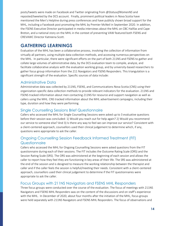posts/tweets were made on Facebook and Twitter originating from *@StatusofWomenNS* and reposted/tweeted by the DCS account. Finally, prominent political leaders in Nova Scotia have mentioned the Men's Helpline during press conferences and have publicly shown broad support for the MHL, including a Facebook post promoting the MHL by Premier McNeil in September 2020. In addition, the FSENS Executive Director participated in media interviews about the MHL on CBC Halifax and Cape Breton, and a national story on the MHL in the context of preventing VAW featured both FSENS and CREVAWC Director Katreena Scott.

# <span id="page-13-0"></span>**GATHERING LEARNINGS**

Evaluation of the MHL has been a collaborative process, involving the collection of information from virtually all partners, using multiple data-collection methods, and accessing numerous perspectives on the MHL. In particular, there were significant efforts on the part of both 211NS and FSENS to gather and collate large volumes of administrative data, by the DCS evaluation team to compile, analyze, and facilitate collaborative analysis with the evaluation working group, and by university-based researchers to gather focus group information from the 211 Navigators and FSENS Responders. This triangulation is a significant strength of the evaluation. Specific sources of data include:

# <span id="page-13-1"></span>Administrative Data

Administrative data was collected by 211NS, FSENS, and Communications Nova Scotia (CNS) using their organization-specific data collection methods to provide relevant indicators for the evaluation. 211NS and FSENS tracked information about men contacting 211NS for resource and support navigation as well as callers using the MHL. CNS tracked information about the MHL advertisement campaigns, including their type, duration and how they were performing.

# <span id="page-13-2"></span>Single Counselling Sessions Brief Questionnaire

Callers who accessed the MHL for Single Counselling Sessions were asked up to 3 evaluative questions before their session was concluded: 1) Would you reach out for help again? 2) Would you recommend our service to someone else? And 3) Is there any way to feel we can improve our service? Consistent with a client-centered approach, counsellors used their clinical judgement to determine which, if any, questions were appropriate to ask the caller.

# <span id="page-13-3"></span>Ongoing Counselling Session Feedback Informed Treatment (FIT) **Questionnaire**

Callers who accessed the MHL for Ongoing Counselling Sessions were asked questions from the FIT questionnaire during each of their sessions. The FIT includes the Outcome Rating Scale (ORS) and the Session Rating Scale (SRS). The ORS was administered at the beginning of each session and allows the caller to report how they feel they are functioning in key areas of their life. The SRS was administered at the end of the session and is designed to measure the working relationship between the therapist and caller and if the caller feels the session is helpful/meeting their needs. Consistent with a client-centered approach, counsellors used their clinical judgement to determine if the FIT questionnaires were appropriate to ask the caller.

## <span id="page-13-4"></span>Focus Groups with 211NS Navigators and FSENS MHL Responders

Three focus groups were conducted over the course of the evaluation. The focus of meetings with 211NS Navigators and FSENS MHL Responders was on the content of the discussions and on staff's experience with the MHL. In December of 2020, about four months after the initiation of the MHL, focus groups were held separately with 211NS Navigators and FSENS MHL Responders. The focus of observations and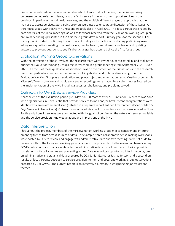discussions centered on the intersectional needs of clients that call the line, the decision-making processes behind referring clients, how the MHL service fits in with other support services in the province, in particular mental health services, and the multiple different angles of approach that clients may use to access services. Story-point-prompts were used to encourage discussion of these issues. A third focus group with FSENS MHL Responders took place in April 2021. This focus group was shaped by data analysis of the initial meetings, as well as feedback received from the Evaluation Working Group on preliminary findings presented in the first focus group draft report. Primary goals for the second FSENS focus group included: confirming the accuracy of findings with participants, sharing preliminary results, asking new questions relating to repeat callers, mental health, and domestic violence, and updating answers to previous questions to see if salient changes had occurred since the first focus group.

#### <span id="page-14-0"></span>Evaluation Working Group Observations

With the permission of those involved, the research team were invited to, participated in, and took notes during the Evaluation Working Groups regularly scheduled group meetings from September 2020 – June 2021. The focus of these qualitative observations was on the content of the discussions and the research team paid particular attention to the problem-solving abilities and collaborative strengths of the Evaluation Working Group as an evaluation and pilot-project implementation team. Meeting occurred via Microsoft Teams software and no video or audio recordings were made. Researchers' notes focused on the implementation of the MHL, including successes, challenges, and problems solved.

## <span id="page-14-1"></span>Outreach to Men & Boys Service Providers

Near the end of the evaluation period (I.e., May 2021, 8 months after MHL initiation), outreach was done with organizations in Nova Scotia that provide services to men and/or boys. Potential organizations were identified via an environmental scan (detailed in a separate report entitled Environmental Scan of Men & Boys Services in Nova Scotia). Outreach was initiated via email to organizations that were located in Nova Scotia and phone interviews were conducted with the goals of confirming the nature of services available and the service providers' knowledge about and impressions of the MHL.

## Data interpretation

Throughout the project, members of the MHL evaluation working group met to consider and interpret emerging trends from across sources of data. For example, three collaborative sense-making workshops were hosted by DCS to review and engage with administrative data and two meetings were set aside to review results of the focus and working group analyses. This process led to the evaluation team layering COVID restrictions and major events onto the administrative data on call numbers to look at possible correlations with call volumes and presenting issues. Data was written up into two interim reports, one on administrative and statistical data prepared by DCS Senior Evaluator Joshua Brisson and a second on results of focus groups, outreach to service providers to men and boys, and working group observations prepared by CREVAWC. The current report is an integrative summary, highlighting major results and themes.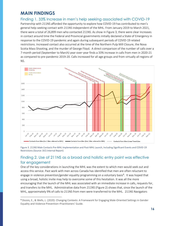# <span id="page-15-0"></span>**MAIN FINDINGS**

### <span id="page-15-1"></span>Finding 1. 33% Increase in men's help seeking associated with COVID-19

Partnership with 211NS afforded the opportunity to explore how COVID-19 has contributed to men's general help-seeking contact with 211NS independent of the MHL. From January 2019 to March 2021, there were a total of 26,899 men who contacted 211NS. As show in Figure 3, there were clear increases in contact around time the Federal and Provincial governments initially declared a State of Emergency in response to the COVID-19 pandemic and again during subsequent periods of COVID-19 related restrictions. Increased contact also occurred at the time of the Northern Pulp Mill Closure, the Nova Scotia Mass Shooting, and the murder of George Floyd. A direct comparison of the number of calls over a 7-month period (September to March) year-over-year finds a 33% increase in calls from men in 2020-21 as compared to pre-pandemic 2019-20. Calls increased for all age groups and from virtually all regions of NS.





# <span id="page-15-2"></span>Finding 2. Use of 211NS as a broad and holistic entry point was effective for engagement

One of the key considerations in launching the MHL was the extent to which men would seek out and access this service. Past work with men across Canada has identified that men are often reluctant to engage in violence prevention/gender equality programming on a voluntary basis<sup>4</sup>. It was hoped that using a broad, holistic invite may help to overcome some of this hesitation. It was all the more encouraging that the launch of the MHL was associated with an immediate increase in calls, requests for, and transfers to the MHL. Administrative data from 211NS (Figure 2) shows that, since the launch of the MHL, approximately 9% of calls to 211NS from men were transferred to the MHL. 211NS Navigators

<sup>4</sup> Dozois, E., & Wells, L. (2020). Changing Contexts: A Framework for Engaging Male-Oriented Settings in Gender Equality and Violence Prevention–Practitioners' Guide.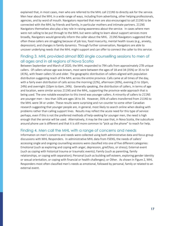explained that, in most cases, men who are referred to the MHL call 211NS to directly ask for the service. Men hear about the MHL in a wide range of ways, including from advertising, other helping professionals, agencies, and by word of mouth. Navigators reported that men are also encouraged to call 211NS to be connected with the MHL by friends and family, in particular mothers and intimate partners. 211NS Navigators themselves also play a key role in raising awareness about the service. In cases where men were not calling to be put through to the MHL but were calling to learn about support services more broadly, Navigators would generally inform the caller about the MHL. 211NS Navigators suggested that often these callers are struggling because of job loss, food insecurity, mental health issues (e.g., anxiety, depression), and changes in family dynamics. Through further conversation, Navigators are able to uncover underlying needs that the MHL might support and can offer to connect the caller to this service.

## <span id="page-16-0"></span>Finding 3. MHL provided almost 800 single counselling sessions to men of all ages and in all regions of Nova Scotia

Between September and March of 2020, the MHL responded to 794 calls from approximately 278 unique callers. Of callers whose age was known, most were between the ages of 18 and 34 (35%) or 35 to 54 (41%), with fewer callers 55 and older. The geographic distribution of callers aligned with population distribution suggesting reach of the MHL across the entire province. Calls came at all times of the day, with a fairly even distribution of calls across the morning (22%), afternoon (30%), evening (5 to 10pm, 24%) and overnight (10pm to 6am, 24%). Generally speaking, the distribution of callers, in terms of age and location, were similar across 211NS and the MHL, supporting the province-wide approach that is being used. The one notable exception to this trend was younger callers. A minority of callers to 211NS are younger men – less than 10% are ages 18 to 34. However, 35% of callers transferred from 211NS to the MHL were 34 or under. These results were surprising and run counter to some other Canadian research suggesting that younger people are, in general, most likely to search online when dealing with problems rather than calling support lines. Results may reflect the acute need for this type of service: perhaps, even if this is not the preferred methods of help-seeking for younger men, the need is high enough that the service will be used. Alternatively, it may be the case that, in Nova Scotia, the subculture around phone use is different and that it is still more common to "pick up the phone" to reach for help.

#### <span id="page-16-1"></span>Finding 4. Men call the MHL with a range of concerns and needs

Information on men's concerns and needs were collected using both administrative data and focus group discussions with MHL Responders. In administrative MHL data from FSENS, the needs of callers' accessing single and ongoing counselling sessions were classified into one of five different categories: Emotional (such as exploring and coping with anger, depression, grief/loss, or stress); External event (such as coping with historical trauma or traumatic events); Family (such as parenting, family relationships, or coping with separation); Personal (such as building self esteem, exploring gender identity or sexual orientation, or coping with financial or health challenges); or Other. As shown in Figure 2, MHL Responders most often classified men's needs as emotional, followed by personal, family or related to an external event.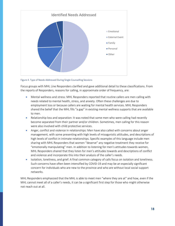

Figure 4. Type of Needs Addressed During Single Counselling Sessions

Focus groups with MHL Line Responders clarified and gave additional detail to these classifications. From the reports of Responders, reasons for calling, in approximate order of frequency, are:

- Mental wellness and stress: MHL Responders reported that routine callers are men calling with needs related to mental health, stress, and anxiety. Often these challenges are due to employment loss or because callers are waiting for mental health services. MHL Responders shared the belief that the MHL fills "a gap" in existing mental wellness supports that are available to men.
- Relationship loss and separation: It was noted that some men who were calling had recently become separated from their partner and/or children. Sometimes, men calling for this reason were also involved with child protective services.
- Anger, conflict and violence in relationships: Men have also called with concerns about anger management, with some presenting with high levels of misogynistic attitudes, and descriptions of high levels of conflict in intimate relationships. Specific examples of this language include men sharing with MHL Responders that women "deserve" any negative treatment they receive for "emotionally manipulating" men. In addition to listening for men's attitudes towards women, MHL Responders shared that they listen for men's attitudes towards and descriptions of conflict and violence and incorporate this into their analysis of the caller's needs.
- Isolation, loneliness, and grief: A final common category of calls focus on isolation and loneliness. Such concerns have often been intensified by COVID-19 and may be an especially significant concern for individuals who are new to the province and who are without local social support networks.

MHL Responders emphasized that the MHL is able to meet men "where they are at" and how, even if the MHL cannot meet all of a caller's needs, it can be a significant first step for those who might otherwise not reach out at all.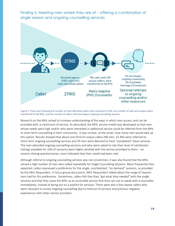

<span id="page-18-0"></span>Finding 5. Meeting men where they are at – offering a combination of

Figure 5. Flow-chart showing the number of male-identified callers that contacted 211NS, the number of calls and unique callers transferred to the MHL, and the number of callers that have begun ongoing counselling sessions.

Research on the MHL aimed to increase understanding of the ways in which men access, and can be provided with, a continuum of service. As described, the MHL service model was developed so that men whose needs were high and/or who were interested in additional service could be referred from the MHL to short term counselling in their community. It was unclear, at the onset, how many men would take up this option. Results showed that about one third of unique callers (90 men, 32.4%) were referred to short-term ongoing counselling services and 29 men were deemed to have "completed" these services. The men attended ongoing counselling sessions and who were asked to rate their level of satisfaction (ratings available for 16% of sessions) were highly satisfied with the service provided to them – on session-closing questionnaires, most indicated that their needs had been met.

Although referral to ongoing counselling services was not uncommon, it was also found that the MHL served a high number of men who called repeatedly for Single Counselling Sessions. More frequently than expected, callers expressed a preference for the single, unscheduled, "on demand" sessions, as provided by the MHL Responders. In focus group discussions, MHL Responders talked about the range of reasons men had for this preference. Sometimes, callers felt that they "got what they needed" with the single sessions and that they value the MHL as an accessible service that they can use to speak with a counsellor immediately, instead of being put on a waitlist for services. There were also a few repeat callers who were reluctant to access ongoing counselling due to mistrust of services and previous negative experiences with other service providers.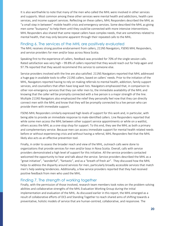It is also worthwhile to note that many of the men who called the MHL were involved in other services and supports. Most common among these other services were mental health and addictions, health care services, and income support services. Reflecting on these callers, MHL Responders described the MHL as "a small step in between" mobile health crisis and emergency services. Some described the MHL as giving men some "buoyancy" to help them until they could be connected with more intensive interventions. MHL Responders also shared that some repeat callers have complex needs, that are sometimes related to mental health, that may only become apparent through their repeated calls to the MHL.

#### <span id="page-19-0"></span>Finding 6. The services of the MHL are positively evaluated

The MHL receives strong positive endorsement from callers, 211NS Navigators, FSENS MHL Responders, and service providers for men and/or boys across Nova Scotia.

Speaking first to the experience of callers, feedback was provided for 70% of the single session calls. Rated satisfaction was very high – 99.8% of callers reported that they would reach out for help again and 97.7% reported that they would recommend this service to someone else.

Service providers involved with the line are also satisfied. 211NS Navigators reported that MHL addressed a huge gap in available tools to offer 211NS callers, based on callers' needs. Prior to the initiation of the MHL, Navigators reported having to rely on making referrals to mental health, addiction, family support services, and counsellors that often have long wait lists. Navigators emphasized that, in comparison to other non-emergency services that they can refer men to, the immediate availability of the MHL and knowing that the caller will be promptly connected with a live person is a major strength of the line. Multiple 211NS Navigators also emphasized the relief they personally feel now that they can directly connect men with the MHL and know that they will be promptly connected to a live person who can provide them with immediate support.

FSENS MHL Responders similarly expressed high levels of support for this work and, in particular, with being able to provide an immediate response to male-identified callers. Line Responders reported that while some men access the MHL between other support service appointments or while on a waitlist, others access the MHL as a one-stop shop for support. To this end, they see the MHL as both a primary and complementary service. Because men can access immediate support for mental health related needs before or without experiencing crisis and without having a referral, MHL Responders feel that the MHL likely also acts as an effective prevention tool.

Finally, in order to assess the broader reach and view of the MHL, outreach calls were done to organizations that provide services for men and/or boys in Nova Scotia. Overall, calls with service providers demonstrated a high level of support for this initiative. All the service providers contacted welcomed the opportunity to hear and talk about the service. Service providers described the MHL as a "great initiative", "wonderful", "fantastic", and as a "breath of fresh air". They discussed how the MHL helps to address the disparity around services for men, particularly broadly accessible services that match men's help seeking tendencies. Additionally, a few service providers reported that they had received positive feedback from men who used the MHL.

## <span id="page-19-1"></span>Finding 7. The strength of working together

Finally, with the permission of those involved, research team members took notes on the problem-solving abilities and collaborative strengths of the MHL Evaluation Working Group during the initial implementation and evaluation of the MHL. As discussed earlier in this report, the MHL emerged as a result of collaborative efforts of DCS and Standing Together to reach shared aims of shifting towards a preventative, holistic models of service that are human-centred, collaborative, and responsive. The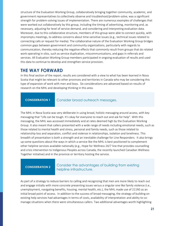structure of the Evaluation Working Group, collaboratively bringing together community, academic, and government representatives to collectively observe and troubleshoot/problem-solve, was a significant strength for problem-solving issues of implementation. There are numerous examples of challenges that were worked out collaboratively by this group, including the timing of advertising, monitoring and, as necessary, adjusting for level of service demand, and considering and interpreting evaluation data. Moreover, due to this collaborative structure, members of this group were able to connect quickly, with impromptu meetings, to address concerns about time-sensitive issues (e.g., technical issues related to connecting calls or request for media). The collaborative nature of the Evaluation Working Group bridges common gaps between government and community organizations, particularly with regards to communication, thereby reducing the negative effects that commonly result from groups that do related work operating in silos, such as service duplication, miscommunications, and gaps in referrals and services. All Evaluation Working Group members participated in ongoing evaluation of results and used this data to continue to develop and strengthen service provision.

## <span id="page-20-0"></span>**THE WAY FORWARD**

In this final section of the report, results are considered with a view to what has been learned in Nova Scotia that might be relevant to other provinces and territories in Canada who may be considering this type of expansion of work with men and boys. Six considerations are advanced based on results of research on the MHL and developing thinking in this area.

#### <span id="page-20-1"></span>**CONSIDERATION 1** Consider broad outreach messages.

The MHL in Nova Scotia was very deliberate in using broad, holistic messaging around access, with key messaging that "Life can be tough. It's okay for everyone to reach out and ask for help". With this messaging, the MHL was accessed immediately and at rates deemed high by the Evaluation Working Group. It also meant that callers presented with a wide range of needs including emotional needs, such as those related to mental health and stress, personal and family needs, such as those related to relationship loss and separation, conflict and violence in relationships, isolation and loneliness. This breadth of presentation is both a strength and an inevitable challenge for Line Responders. It also brings up some questions about the ways in which a service like the MHL is best positioned to complement other helpline services available nationally (e.g., Hope for Wellness 24/7 line that provides counselling and crisis intervention to Indigenous Peoples across Canada, the recently launched Canadian Wellness Together initiative) and in the province or territory hosting the service.

#### **CONSIDERATION 2**

#### <span id="page-20-2"></span>Consider the advantages of building from existing helpline infrastructure.

As part of a strategy to reduce barriers to calling and recognizing that men are more likely to reach out and engage initially with more concrete presenting issues versus a singular one like family violence (i.e., unemployment, navigating benefits, housing, mental health, etc.), the MHL made use of 211NS as an initial broad point of access. In addition to the success of broad messaging, the strategy of building on existing help services had advantages in terms of costs, availability of interpretation and ability to comanage situations when there were simultaneous callers. Two additional advantages worth highlighting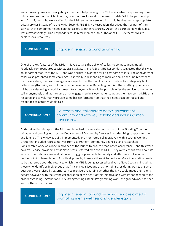are addressing crises and navigating subsequent help seeking. The MHL is advertised as providing noncrisis-based support, which of course, does not preclude calls from men in crisis. With the partnership with 211NS, men who were calling for the MHL and who were in crisis could be diverted to appropriate crises services instead of to the MHL. Second, FSENS MHL Responders described that, as part of their service, they sometimes helped connect callers to other resources. Again, the partnership with 211NS was a key advantage. Line Responders could refer men back to 211NS or call 211NS themselves to explore local resources.

<span id="page-21-0"></span>**CONSIDERATION 3** Engage in tensions around anonymity.

One of the key features of the MHL in Nova Scotia is the ability of callers to connect anonymously. Feedback from focus groups with 211NS Navigators and FSENS MHL Responders suggested that this was an important feature of the MHL and was a critical advantage for at least some callers. The anonymity of callers also presented some challenges, especially in responding to men who called the line repeatedly. For these callers, the disadvantage of anonymity was the inability for counsellors to strategically build caller strengths, skills, and solutions session over session. Reflecting on this, others setting up services might consider using a hybrid approach to anonymity. It would be possible offer the service to men who call anonymously and, at the same time, engage men in a way that encourages them to see the MHL as a resource and to voluntarily provide some basic information so that their needs can be tracked and responded to across multiple calls.

#### **CONSIDERATION 4**

<span id="page-21-1"></span>Co-create and collaborate across government, community and with key stakeholders including men themselves.

As described in this report, the MHL was launched strategically both as part of the Standing Together Initiative and ongoing work by the Department of Community Services in modernizing supports for men and families. The MHL was built, implemented, and monitored collaboratively with a strong Working Group that included representatives from government, community agencies, and researchers. Considerable work was done in advance of the launch to ensure broad based acceptance – and this work paid off. Service providers across Nova Scotia referred men to the MHL. They were enthusiastic about its launch. The collaborative evaluation working group was able to quickly and effectively solve initial problems in implementation. As with all projects, there is still work to be done. More information needs to be gathered about the extent to which the MHL is being accessed by diverse Nova Scotians, including those who identify as Indigenous or as African Nova Scotians or as non-binary, as during outreach some questions were raised by external service providers regarding whether the MHL could meet their clients' needs; however, with the strong collaboration at the heart of this initiative and with its connection to the broader Standing Together and DCS Strengthening Fathers Programming work, the groundwork has been laid for these discussions.

#### **CONDISERATION 5**

<span id="page-21-2"></span>Engage in tensions around providing services aimed at promoting men's wellness and gender equity.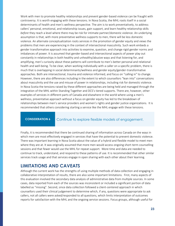Work with men to promote healthy relationships and prevent gender-based violence can be fraught with controversy. It is worth engaging with these tensions. In Nova Scotia, the MHL roots itself in a social determinants of health and men's wellness perspective. The aim is to work preventatively, to address callers' personal, emotional, and relationship issues, gain support, and learn healthy relationship skills *before* they reach a level where there may be risk for intimate partner/domestic violence. An underlying assumption is that, with more preventative wellness supports to men, there will be less domestic violence. An alternate conceptualization roots services in the promotion of gender equity and views the problems that men are experiencing in the context of intersectional masculinity. Such work embeds a gender transformative approach into activities to examine, question, and change rigid gender norms and imbalances of power. It is assumed that gender-based and intersectional aspects of power play out constantly in relationships in both healthy and unhealthy/abusive ways and that listening for, and amplifying, men's curiosity about these patterns will contribute to men's better personal and relational health and well-being. To be clear, when working individually with a caller on a specific problem, there is much that is overlapping in social determinants/wellness and gender equity/gender-transformative approaches. Both are intersectional, trauma and violence informed, and focus on "calling in" to change. However, there are also differences including in the extent to which counsellors "lean into" conversations about masculinity and the use and misuse of power in relationships, including risk for domestic violence. In Nova Scotia the tensions raised by these different approaches are being held and managed through the integration of the MHL within Standing Together and DCS's tiered supports. There are, however, other examples of services in different parts of Canada and elsewhere in the world where using a men's wellness, preventative approach without a focus on gender equity has led to the breakdown of relationships between men's service providers and women's rights and gender justice organizations. It is recommended that others considering starting a service like the MHL engage with these tensions.

<span id="page-22-0"></span>**CONSIDERATION 6** Continue to explore flexible models of engagement.

Finally, it is recommended that there be continued sharing of information across Canada on the ways in which men are most effectively engaged in services that have the potential to prevent domestic violence. There was important learning in Nova Scotia about the value of a hybrid and flexible model to meet men where they are at. It was originally assumed that more men would access ongoing short-term counselling sessions and that fewer would use the MHL for repeat support. More time and data are needed to continue to track, understand, and respond to these patterns of use. It is recommended that other similar services track usage and that services engage in open sharing with each other about their learning.

# <span id="page-22-1"></span>**LIMITATIONS AND CAVEATS**

Although the current work has the strengths of using multiple methods of data collection and engaging in collaborative interpretation of results, there are also some important limitations. First, many aspects of this evaluation involved the secondary data analysis of administrative data from multiple sources. In some cases, data reported from each of the sources was inconsistent or included a significant portion of data labelled as "missing". Second, since data collection followed a client-centered approach in which counsellors used their clinical judgement to determine which, if any, questions were appropriate to ask callers, not all callers were asked/responded to all questions, which limits interpretation of outcomes reports for satisfaction with the MHL and the ongoing service sessions. Focus groups, although useful for